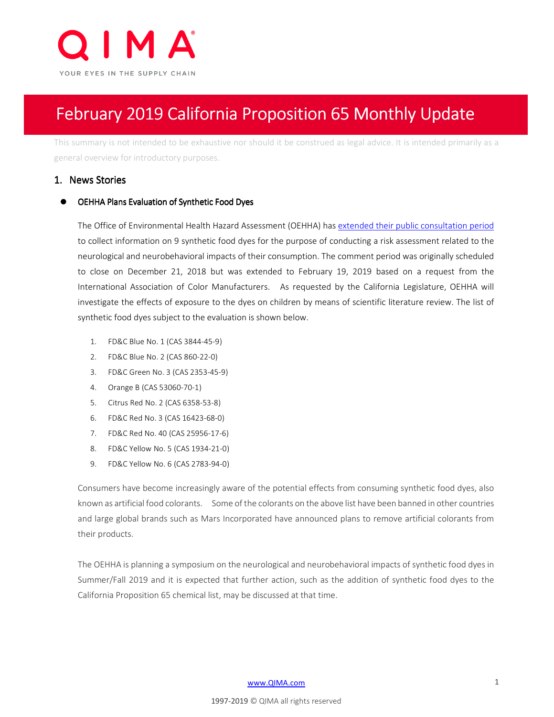

# February 2019 California Proposition 65 Monthly Update

This summary is not intended to be exhaustive nor should it be construed as legal advice. It is intended primarily as a general overview for introductory purposes.

#### 1. News Stories

#### OEHHA Plans Evaluation of Synthetic Food Dyes

The Office of Environmental Health Hazard Assessment (OEHHA) has extended their public consultation period to collect information on 9 synthetic food dyes for the purpose of conducting a risk assessment related to the neurological and neurobehavioral impacts of their consumption. The comment period was originally scheduled to close on December 21, 2018 but was extended to February 19, 2019 based on a request from the International Association of Color Manufacturers. As requested by the California Legislature, OEHHA will investigate the effects of exposure to the dyes on children by means of scientific literature review. The list of synthetic food dyes subject to the evaluation is shown below.

- 1. FD&C Blue No. 1 (CAS 3844-45-9)
- 2. FD&C Blue No. 2 (CAS 860-22-0)
- 3. FD&C Green No. 3 (CAS 2353-45-9)
- 4. Orange B (CAS 53060-70-1)
- 5. Citrus Red No. 2 (CAS 6358-53-8)
- 6. FD&C Red No. 3 (CAS 16423-68-0)
- 7. FD&C Red No. 40 (CAS 25956-17-6)
- 8. FD&C Yellow No. 5 (CAS 1934-21-0)
- 9. FD&C Yellow No. 6 (CAS 2783-94-0)

Consumers have become increasingly aware of the potential effects from consuming synthetic food dyes, also known as artificial food colorants. Some of the colorants on the above list have been banned in other countries and large global brands such as Mars Incorporated have announced plans to remove artificial colorants from their products.

The OEHHA is planning a symposium on the neurological and neurobehavioral impacts of synthetic food dyes in Summer/Fall 2019 and it is expected that further action, such as the addition of synthetic food dyes to the California Proposition 65 chemical list, may be discussed at that time.

#### www.QIMA.com 1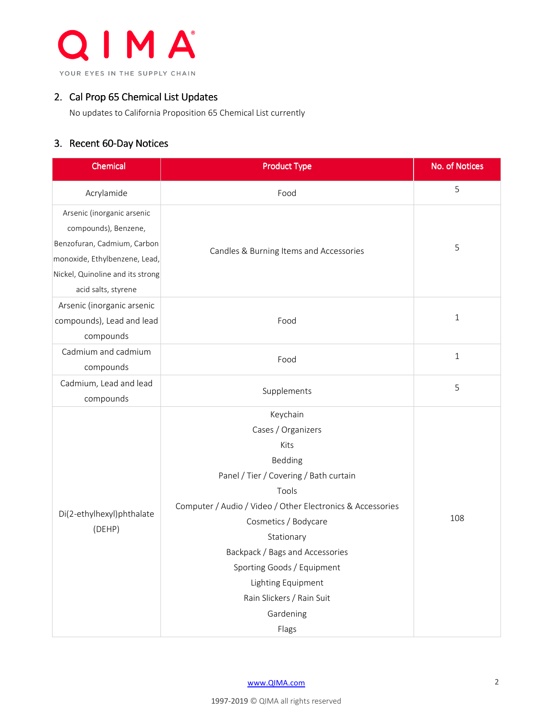

# 2. Cal Prop 65 Chemical List Updates

No updates to California Proposition 65 Chemical List currently

# 3. Recent 60-Day Notices

| Chemical                         | <b>Product Type</b>                                        | <b>No. of Notices</b> |  |
|----------------------------------|------------------------------------------------------------|-----------------------|--|
| Acrylamide                       | Food                                                       | 5                     |  |
| Arsenic (inorganic arsenic       |                                                            |                       |  |
| compounds), Benzene,             |                                                            | 5                     |  |
| Benzofuran, Cadmium, Carbon      |                                                            |                       |  |
| monoxide, Ethylbenzene, Lead,    | Candles & Burning Items and Accessories                    |                       |  |
| Nickel, Quinoline and its strong |                                                            |                       |  |
| acid salts, styrene              |                                                            |                       |  |
| Arsenic (inorganic arsenic       |                                                            | $\mathbf{1}$          |  |
| compounds), Lead and lead        | Food                                                       |                       |  |
| compounds                        |                                                            |                       |  |
| Cadmium and cadmium              | Food                                                       | $\mathbf{1}$          |  |
| compounds                        |                                                            |                       |  |
| Cadmium, Lead and lead           | Supplements                                                | 5                     |  |
| compounds                        |                                                            |                       |  |
|                                  | Keychain                                                   | 108                   |  |
|                                  | Cases / Organizers                                         |                       |  |
|                                  | Kits                                                       |                       |  |
|                                  | Bedding                                                    |                       |  |
|                                  | Panel / Tier / Covering / Bath curtain                     |                       |  |
|                                  | Tools                                                      |                       |  |
|                                  | Computer / Audio / Video / Other Electronics & Accessories |                       |  |
| Di(2-ethylhexyl)phthalate        | Cosmetics / Bodycare                                       |                       |  |
| (DEHP)                           | Stationary                                                 |                       |  |
|                                  | Backpack / Bags and Accessories                            |                       |  |
|                                  | Sporting Goods / Equipment                                 |                       |  |
|                                  | Lighting Equipment                                         |                       |  |
|                                  | Rain Slickers / Rain Suit                                  |                       |  |
|                                  | Gardening                                                  |                       |  |
|                                  | Flags                                                      |                       |  |

www.QIMA.com 2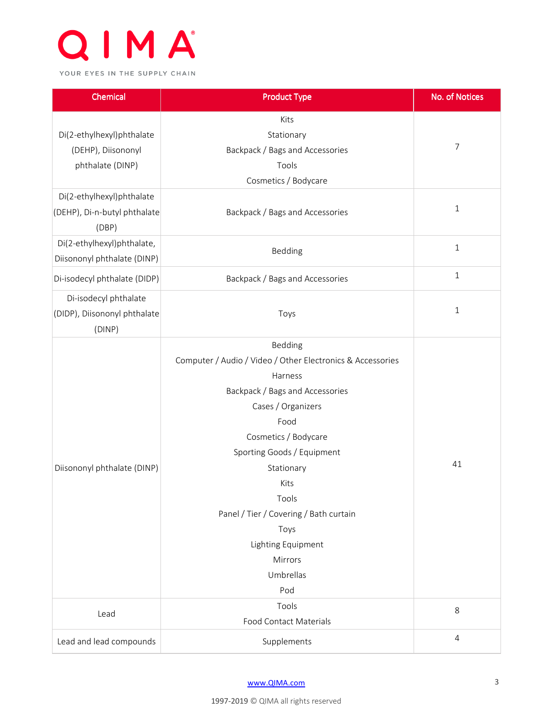

| Chemical                     | <b>Product Type</b>                                        | No. of Notices |  |
|------------------------------|------------------------------------------------------------|----------------|--|
| Kits                         |                                                            |                |  |
| Di(2-ethylhexyl)phthalate    | Stationary                                                 |                |  |
| (DEHP), Diisononyl           | Backpack / Bags and Accessories                            | $\overline{7}$ |  |
| phthalate (DINP)             | Tools                                                      |                |  |
|                              | Cosmetics / Bodycare                                       |                |  |
| Di(2-ethylhexyl)phthalate    |                                                            |                |  |
| (DEHP), Di-n-butyl phthalate | Backpack / Bags and Accessories                            | $\,1\,$        |  |
| (DBP)                        |                                                            |                |  |
| Di(2-ethylhexyl)phthalate,   |                                                            | $1\,$          |  |
| Diisononyl phthalate (DINP)  | Bedding                                                    |                |  |
| Di-isodecyl phthalate (DIDP) | Backpack / Bags and Accessories                            | $\mathbf{1}$   |  |
| Di-isodecyl phthalate        |                                                            |                |  |
| (DIDP), Diisononyl phthalate | Toys                                                       | $1\,$          |  |
| (DINP)                       |                                                            |                |  |
|                              | Bedding                                                    |                |  |
|                              | Computer / Audio / Video / Other Electronics & Accessories |                |  |
|                              | Harness                                                    | 41             |  |
|                              | Backpack / Bags and Accessories                            |                |  |
|                              | Cases / Organizers                                         |                |  |
|                              | Food                                                       |                |  |
|                              | Cosmetics / Bodycare                                       |                |  |
|                              | Sporting Goods / Equipment                                 |                |  |
| Diisononyl phthalate (DINP)  | Stationary                                                 |                |  |
|                              | Kits                                                       |                |  |
|                              | Tools                                                      |                |  |
|                              | Panel / Tier / Covering / Bath curtain                     |                |  |
|                              | Toys                                                       |                |  |
|                              | Lighting Equipment                                         |                |  |
|                              | Mirrors                                                    |                |  |
|                              | Umbrellas                                                  |                |  |
|                              | Pod                                                        |                |  |
|                              | Tools                                                      | 8              |  |
| Lead                         | <b>Food Contact Materials</b>                              |                |  |
| Lead and lead compounds      | Supplements                                                | $\overline{4}$ |  |